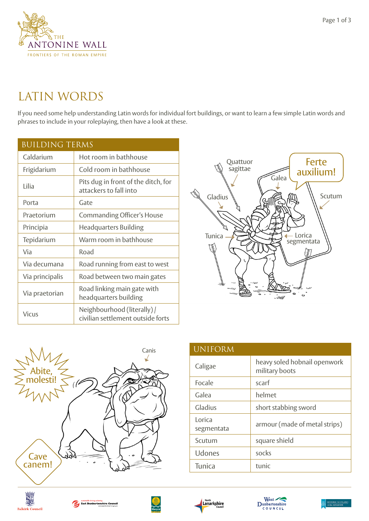

## LATIN WORDS

If you need some help understanding Latin words for individual fort buildings, or want to learn a few simple Latin words and phrases to include in your roleplaying, then have a look at these.

| <b>BUILDING TERMS</b> |                                                                  |  |
|-----------------------|------------------------------------------------------------------|--|
| Caldarium             | Hot room in bathhouse                                            |  |
| Frigidarium           | Cold room in bathhouse                                           |  |
| Lilia                 | Pits dug in front of the ditch, for<br>attackers to fall into    |  |
| Porta                 | Gate                                                             |  |
| Praetorium            | <b>Commanding Officer's House</b>                                |  |
| Principia             | <b>Headquarters Building</b>                                     |  |
| Tepidarium            | Warm room in bathhouse                                           |  |
| Via                   | Road                                                             |  |
| Via decumana          | Road running from east to west                                   |  |
| Via principalis       | Road between two main gates                                      |  |
| Via praetorian        | Road linking main gate with<br>headquarters building             |  |
| <b>Vicus</b>          | Neighbourhood (literally) /<br>civilian settlement outside forts |  |





| <b>UNIFORM</b>       |                                                |
|----------------------|------------------------------------------------|
| Caligae              | heavy soled hobnail openwork<br>military boots |
| Focale               | scarf                                          |
| Galea                | helmet                                         |
| Gladius              | short stabbing sword                           |
| Lorica<br>segmentata | armour (made of metal strips)                  |
| Scutum               | square shield                                  |
| Udones               | socks                                          |
| Tunica               | tunic                                          |











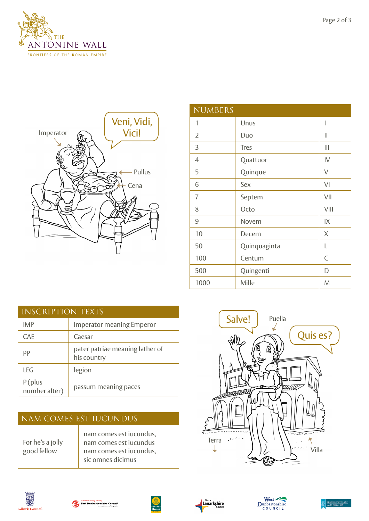





| <b>NUMBERS</b> |              |                |
|----------------|--------------|----------------|
| 1              | Unus         | I              |
| $\overline{2}$ | Duo          | II             |
| 3              | <b>Tres</b>  | Ш              |
| 4              | Quattuor     | $\mathsf{IV}$  |
| 5              | Quinque      | V              |
| 6              | Sex          | V <sub>l</sub> |
| $\overline{7}$ | Septem       | VII            |
| 8              | Octo         | VIII           |
| 9              | Novem        | IX             |
| 10             | Decem        | X              |
| 50             | Quinquaginta | L              |
| 100            | Centum       | C              |
| 500            | Quingenti    | D              |
| 1000           | Mille        | M              |

| <b>INSCRIPTION TEXTS</b> |                                                |  |
|--------------------------|------------------------------------------------|--|
| <b>IMP</b>               | <b>Imperator meaning Emperor</b>               |  |
| <b>CAF</b>               | Caesar                                         |  |
| PP                       | pater patriae meaning father of<br>his country |  |
| I FG                     | legion                                         |  |
| P(plus<br>number after)  | passum meaning paces                           |  |

| NAM COMES EST IUCUNDUS          |                                                                                                   |  |
|---------------------------------|---------------------------------------------------------------------------------------------------|--|
| For he's a jolly<br>good fellow | nam comes est iucundus,<br>nam comes est iucundus<br>nam comes est iucundus,<br>sic omnes dicimus |  |













HISTORIC SCOT